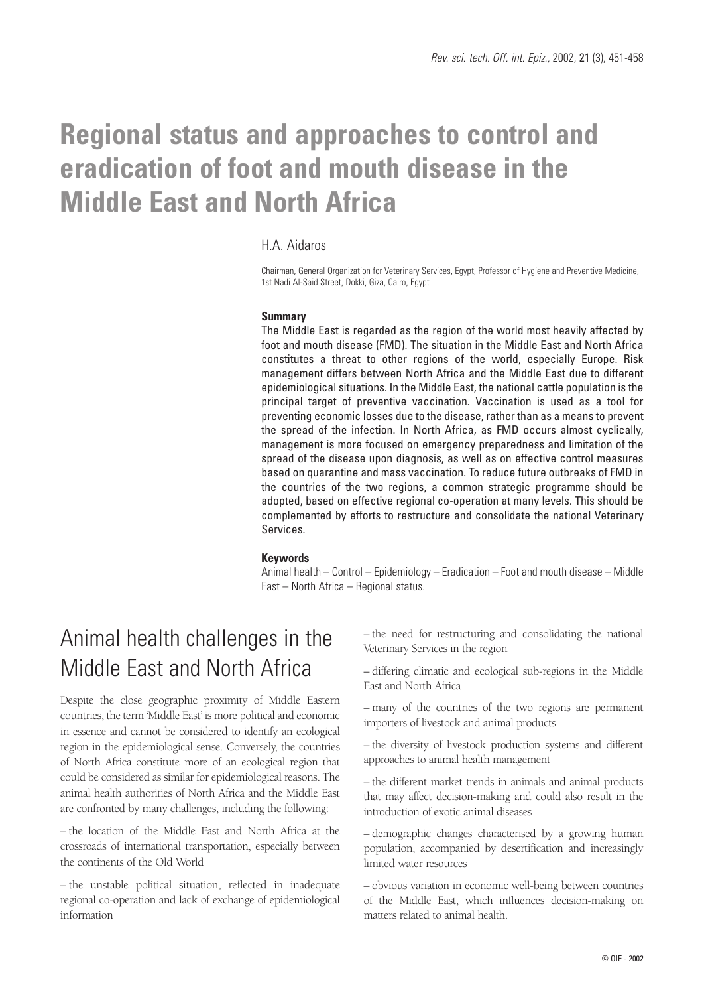# **Regional status and approaches to control and eradication of foot and mouth disease in the Middle East and North Africa**

## H.A. Aidaros

Chairman, General Organization for Veterinary Services, Egypt, Professor of Hygiene and Preventive Medicine, 1st Nadi Al-Said Street, Dokki, Giza, Cairo, Egypt

### **Summary**

The Middle East is regarded as the region of the world most heavily affected by foot and mouth disease (FMD). The situation in the Middle East and North Africa constitutes a threat to other regions of the world, especially Europe. Risk management differs between North Africa and the Middle East due to different epidemiological situations. In the Middle East, the national cattle population is the principal target of preventive vaccination. Vaccination is used as a tool for preventing economic losses due to the disease, rather than as a means to prevent the spread of the infection. In North Africa, as FMD occurs almost cyclically, management is more focused on emergency preparedness and limitation of the spread of the disease upon diagnosis, as well as on effective control measures based on quarantine and mass vaccination. To reduce future outbreaks of FMD in the countries of the two regions, a common strategic programme should be adopted, based on effective regional co-operation at many levels. This should be complemented by efforts to restructure and consolidate the national Veterinary Services.

## **Keywords**

Animal health – Control – Epidemiology – Eradication – Foot and mouth disease – Middle East – North Africa – Regional status.

# Animal health challenges in the Middle East and North Africa

Despite the close geographic proximity of Middle Eastern countries, the term 'Middle East' is more political and economic in essence and cannot be considered to identify an ecological region in the epidemiological sense. Conversely, the countries of North Africa constitute more of an ecological region that could be considered as similar for epidemiological reasons. The animal health authorities of North Africa and the Middle East are confronted by many challenges, including the following:

– the location of the Middle East and North Africa at the crossroads of international transportation, especially between the continents of the Old World

– the unstable political situation, reflected in inadequate regional co-operation and lack of exchange of epidemiological information

– the need for restructuring and consolidating the national Veterinary Services in the region

– differing climatic and ecological sub-regions in the Middle East and North Africa

– many of the countries of the two regions are permanent importers of livestock and animal products

– the diversity of livestock production systems and different approaches to animal health management

– the different market trends in animals and animal products that may affect decision-making and could also result in the introduction of exotic animal diseases

– demographic changes characterised by a growing human population, accompanied by desertification and increasingly limited water resources

– obvious variation in economic well-being between countries of the Middle East, which influences decision-making on matters related to animal health.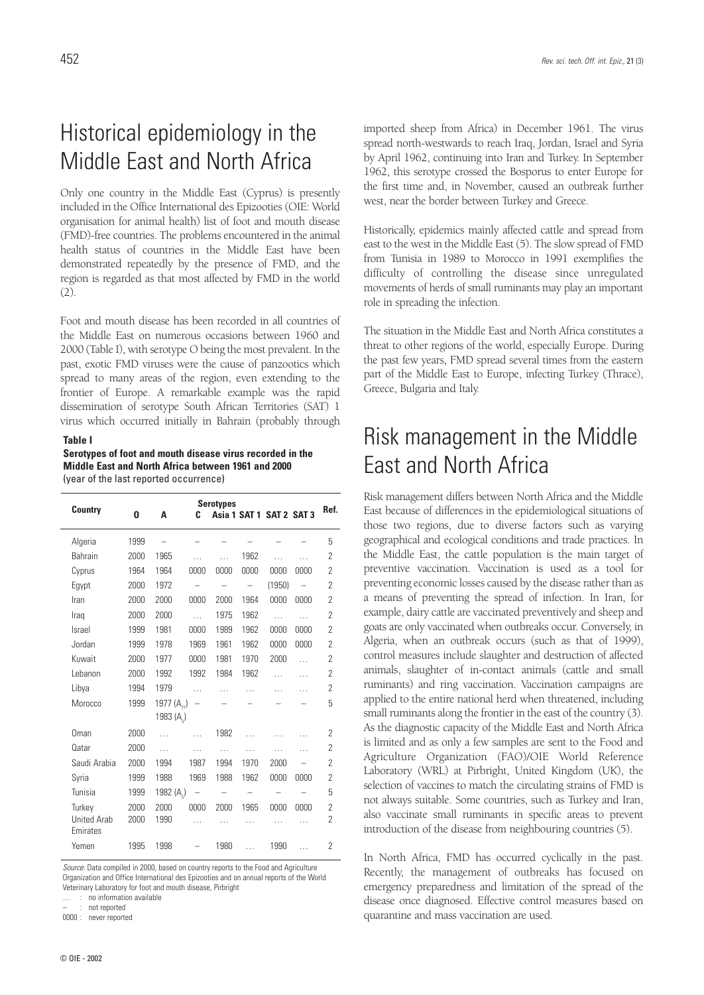# Historical epidemiology in the Middle East and North Africa

Only one country in the Middle East (Cyprus) is presently included in the Office International des Epizooties (OIE: World organisation for animal health) list of foot and mouth disease (FMD)-free countries. The problems encountered in the animal health status of countries in the Middle East have been demonstrated repeatedly by the presence of FMD, and the region is regarded as that most affected by FMD in the world (2).

Foot and mouth disease has been recorded in all countries of the Middle East on numerous occasions between 1960 and 2000 (Table I), with serotype O being the most prevalent. In the past, exotic FMD viruses were the cause of panzootics which spread to many areas of the region, even extending to the frontier of Europe. A remarkable example was the rapid dissemination of serotype South African Territories (SAT) 1 virus which occurred initially in Bahrain (probably through

#### **Table I**

**Serotypes of foot and mouth disease virus recorded in the Middle East and North Africa between 1961 and 2000** (year of the last reported occurrence)

| <b>Country</b>     | <b>Serotypes</b><br>Asia 1 SAT 1 SAT 2 SAT 3 |                        |           |      |           |           | Ref.      |                |
|--------------------|----------------------------------------------|------------------------|-----------|------|-----------|-----------|-----------|----------------|
|                    | 0                                            | A                      | C         |      |           |           |           |                |
| Algeria            | 1999                                         |                        |           |      |           |           |           | 5              |
| Bahrain            | 2000                                         | 1965                   |           |      | 1962      | $\sim$    | $\cdots$  | 2              |
| Cyprus             | 1964                                         | 1964                   | 0000      | 0000 | 0000      | 0000      | 0000      | 2              |
| Egypt              | 2000                                         | 1972                   |           |      |           | (1950)    |           | 2              |
| Iran               | 2000                                         | 2000                   | 0000      | 2000 | 1964      | 0000      | 0000      | 2              |
| Iraq               | 2000                                         | 2000                   | $\ddotsc$ | 1975 | 1962      | $\ddotsc$ | $\ddotsc$ | 2              |
| Israel             | 1999                                         | 1981                   | 0000      | 1989 | 1962      | 0000      | 0000      | 2              |
| Jordan             | 1999                                         | 1978                   | 1969      | 1961 | 1962      | 0000      | 0000      | 2              |
| Kuwait             | 2000                                         | 1977                   | 0000      | 1981 | 1970      | 2000      | $\ddotsc$ | $\overline{2}$ |
| Lebanon            | 2000                                         | 1992                   | 1992      | 1984 | 1962      | .         | $\cdots$  | $\overline{2}$ |
| Libya              | 1994                                         | 1979                   | $\cdots$  |      |           | .         | .         | $\overline{2}$ |
| Morocco            | 1999                                         | 1977 $(A_n)$           |           |      |           |           |           | 5              |
|                    |                                              | 1983 (A <sub>s</sub> ) |           |      |           |           |           |                |
| Oman               | 2000                                         | $\ddotsc$              | $\ddotsc$ | 1982 | $\ddotsc$ | $\cdots$  | $\cdots$  | $\overline{2}$ |
| <b>Oatar</b>       | 2000                                         | $\cdots$               | .         | .    | .         | .         | .         | $\overline{2}$ |
| Saudi Arabia       | 2000                                         | 1994                   | 1987      | 1994 | 1970      | 2000      |           | $\overline{2}$ |
| Syria              | 1999                                         | 1988                   | 1969      | 1988 | 1962      | 0000      | 0000      | 2              |
| Tunisia            | 1999                                         | 1982 (A <sub>5</sub> ) |           |      |           |           |           | 5              |
| Turkey             | 2000                                         | 2000                   | 0000      | 2000 | 1965      | 0000      | 0000      | 2              |
| <b>United Arab</b> | 2000                                         | 1990                   | .         |      |           | .         |           | $\overline{2}$ |
| Emirates           |                                              |                        |           |      |           |           |           |                |
| Yemen              | 1995                                         | 1998                   |           | 1980 | $\ddotsc$ | 1990      |           | 2              |

*Source*: Data compiled in 2000, based on country reports to the Food and Agriculture Organization and Office International des Epizooties and on annual reports of the World Veterinary Laboratory for foot and mouth disease, Pirbright

… : no information available not reported

0000 : never reported

imported sheep from Africa) in December 1961. The virus spread north-westwards to reach Iraq, Jordan, Israel and Syria by April 1962, continuing into Iran and Turkey. In September 1962, this serotype crossed the Bosporus to enter Europe for the first time and, in November, caused an outbreak further west, near the border between Turkey and Greece.

Historically, epidemics mainly affected cattle and spread from east to the west in the Middle East (5). The slow spread of FMD from Tunisia in 1989 to Morocco in 1991 exemplifies the difficulty of controlling the disease since unregulated movements of herds of small ruminants may play an important role in spreading the infection.

The situation in the Middle East and North Africa constitutes a threat to other regions of the world, especially Europe. During the past few years, FMD spread several times from the eastern part of the Middle East to Europe, infecting Turkey (Thrace), Greece, Bulgaria and Italy.

# Risk management in the Middle East and North Africa

Risk management differs between North Africa and the Middle East because of differences in the epidemiological situations of those two regions, due to diverse factors such as varying geographical and ecological conditions and trade practices. In the Middle East, the cattle population is the main target of preventive vaccination. Vaccination is used as a tool for preventing economic losses caused by the disease rather than as a means of preventing the spread of infection. In Iran, for example, dairy cattle are vaccinated preventively and sheep and goats are only vaccinated when outbreaks occur. Conversely, in Algeria, when an outbreak occurs (such as that of 1999), control measures include slaughter and destruction of affected animals, slaughter of in-contact animals (cattle and small ruminants) and ring vaccination. Vaccination campaigns are applied to the entire national herd when threatened, including small ruminants along the frontier in the east of the country (3). As the diagnostic capacity of the Middle East and North Africa is limited and as only a few samples are sent to the Food and Agriculture Organization (FAO)/OIE World Reference Laboratory (WRL) at Pirbright, United Kingdom (UK), the selection of vaccines to match the circulating strains of FMD is not always suitable. Some countries, such as Turkey and Iran, also vaccinate small ruminants in specific areas to prevent introduction of the disease from neighbouring countries (5).

In North Africa, FMD has occurred cyclically in the past. Recently, the management of outbreaks has focused on emergency preparedness and limitation of the spread of the disease once diagnosed. Effective control measures based on quarantine and mass vaccination are used.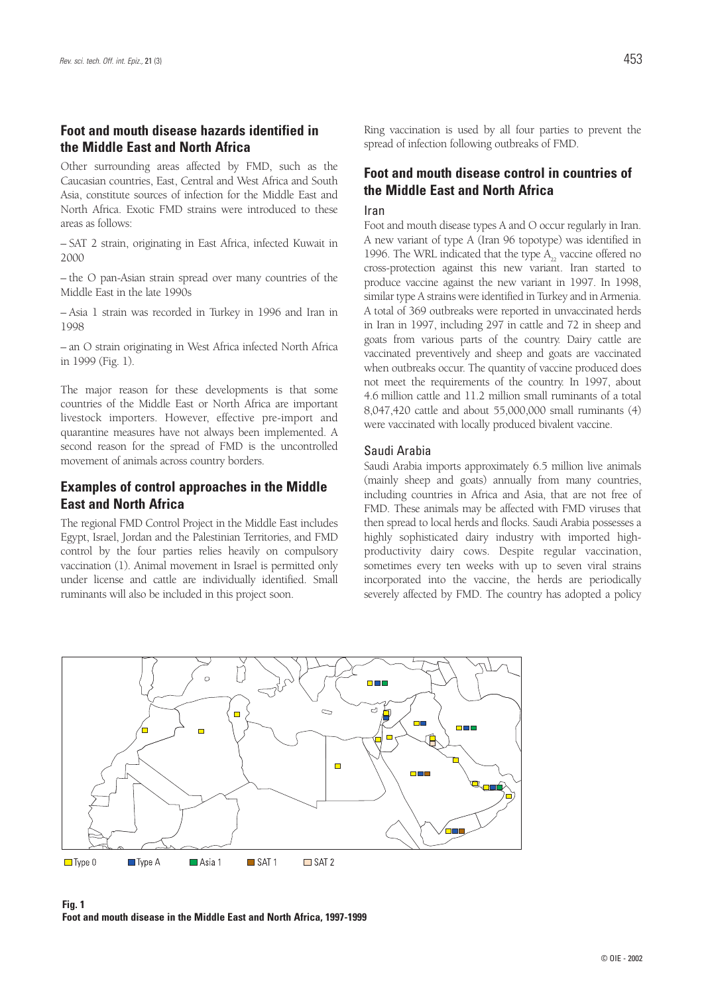## **Foot and mouth disease hazards identified in the Middle East and North Africa**

Other surrounding areas affected by FMD, such as the Caucasian countries, East, Central and West Africa and South Asia, constitute sources of infection for the Middle East and North Africa. Exotic FMD strains were introduced to these areas as follows:

– SAT 2 strain, originating in East Africa, infected Kuwait in 2000

– the O pan-Asian strain spread over many countries of the Middle East in the late 1990s

– Asia 1 strain was recorded in Turkey in 1996 and Iran in 1998

– an O strain originating in West Africa infected North Africa in 1999 (Fig. 1).

The major reason for these developments is that some countries of the Middle East or North Africa are important livestock importers. However, effective pre-import and quarantine measures have not always been implemented. A second reason for the spread of FMD is the uncontrolled movement of animals across country borders.

## **Examples of control approaches in the Middle East and North Africa**

The regional FMD Control Project in the Middle East includes Egypt, Israel, Jordan and the Palestinian Territories, and FMD control by the four parties relies heavily on compulsory vaccination (1). Animal movement in Israel is permitted only under license and cattle are individually identified. Small ruminants will also be included in this project soon.

Ring vaccination is used by all four parties to prevent the spread of infection following outbreaks of FMD.

## **Foot and mouth disease control in countries of the Middle East and North Africa**

### Iran

Foot and mouth disease types A and O occur regularly in Iran. A new variant of type A (Iran 96 topotype) was identified in 1996. The WRL indicated that the type  $A_{22}$  vaccine offered no cross-protection against this new variant. Iran started to produce vaccine against the new variant in 1997. In 1998, similar type A strains were identified in Turkey and in Armenia. A total of 369 outbreaks were reported in unvaccinated herds in Iran in 1997, including 297 in cattle and 72 in sheep and goats from various parts of the country. Dairy cattle are vaccinated preventively and sheep and goats are vaccinated when outbreaks occur. The quantity of vaccine produced does not meet the requirements of the country. In 1997, about 4.6 million cattle and 11.2 million small ruminants of a total 8,047,420 cattle and about 55,000,000 small ruminants (4) were vaccinated with locally produced bivalent vaccine.

#### Saudi Arabia

Saudi Arabia imports approximately 6.5 million live animals (mainly sheep and goats) annually from many countries, including countries in Africa and Asia, that are not free of FMD. These animals may be affected with FMD viruses that then spread to local herds and flocks. Saudi Arabia possesses a highly sophisticated dairy industry with imported highproductivity dairy cows. Despite regular vaccination, sometimes every ten weeks with up to seven viral strains incorporated into the vaccine, the herds are periodically severely affected by FMD. The country has adopted a policy



**Fig. 1 Foot and mouth disease in the Middle East and North Africa, 1997-1999**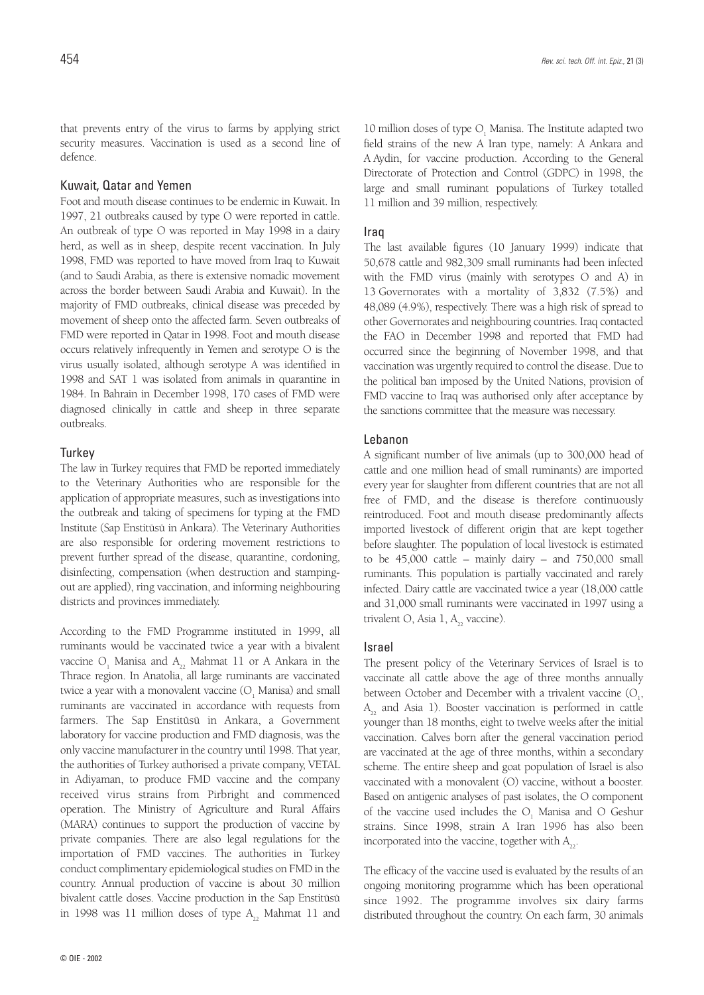that prevents entry of the virus to farms by applying strict security measures. Vaccination is used as a second line of defence.

## Kuwait, Qatar and Yemen

Foot and mouth disease continues to be endemic in Kuwait. In 1997, 21 outbreaks caused by type O were reported in cattle. An outbreak of type O was reported in May 1998 in a dairy herd, as well as in sheep, despite recent vaccination. In July 1998, FMD was reported to have moved from Iraq to Kuwait (and to Saudi Arabia, as there is extensive nomadic movement across the border between Saudi Arabia and Kuwait). In the majority of FMD outbreaks, clinical disease was preceded by movement of sheep onto the affected farm. Seven outbreaks of FMD were reported in Qatar in 1998. Foot and mouth disease occurs relatively infrequently in Yemen and serotype O is the virus usually isolated, although serotype A was identified in 1998 and SAT 1 was isolated from animals in quarantine in 1984. In Bahrain in December 1998, 170 cases of FMD were diagnosed clinically in cattle and sheep in three separate outbreaks.

#### **Turkey**

The law in Turkey requires that FMD be reported immediately to the Veterinary Authorities who are responsible for the application of appropriate measures, such as investigations into the outbreak and taking of specimens for typing at the FMD Institute (Sap Enstitüsü in Ankara). The Veterinary Authorities are also responsible for ordering movement restrictions to prevent further spread of the disease, quarantine, cordoning, disinfecting, compensation (when destruction and stampingout are applied), ring vaccination, and informing neighbouring districts and provinces immediately.

According to the FMD Programme instituted in 1999, all ruminants would be vaccinated twice a year with a bivalent vaccine  $O_1$  Manisa and  $A_2$ , Mahmat 11 or A Ankara in the Thrace region. In Anatolia, all large ruminants are vaccinated twice a year with a monovalent vaccine  $(O, Manisa)$  and small ruminants are vaccinated in accordance with requests from farmers. The Sap Enstitüsü in Ankara, a Government laboratory for vaccine production and FMD diagnosis, was the only vaccine manufacturer in the country until 1998. That year, the authorities of Turkey authorised a private company, VETAL in Adiyaman, to produce FMD vaccine and the company received virus strains from Pirbright and commenced operation. The Ministry of Agriculture and Rural Affairs (MARA) continues to support the production of vaccine by private companies. There are also legal regulations for the importation of FMD vaccines. The authorities in Turkey conduct complimentary epidemiological studies on FMD in the country. Annual production of vaccine is about 30 million bivalent cattle doses. Vaccine production in the Sap Enstitüsü in 1998 was 11 million doses of type  $A_{22}$  Mahmat 11 and

10 million doses of type O, Manisa. The Institute adapted two field strains of the new A Iran type, namely: A Ankara and A Aydin, for vaccine production. According to the General Directorate of Protection and Control (GDPC) in 1998, the large and small ruminant populations of Turkey totalled 11 million and 39 million, respectively.

#### Iraq

The last available figures (10 January 1999) indicate that 50,678 cattle and 982,309 small ruminants had been infected with the FMD virus (mainly with serotypes O and A) in 13 Governorates with a mortality of 3,832 (7.5%) and 48,089 (4.9%), respectively. There was a high risk of spread to other Governorates and neighbouring countries. Iraq contacted the FAO in December 1998 and reported that FMD had occurred since the beginning of November 1998, and that vaccination was urgently required to control the disease. Due to the political ban imposed by the United Nations, provision of FMD vaccine to Iraq was authorised only after acceptance by the sanctions committee that the measure was necessary.

#### Lebanon

A significant number of live animals (up to 300,000 head of cattle and one million head of small ruminants) are imported every year for slaughter from different countries that are not all free of FMD, and the disease is therefore continuously reintroduced. Foot and mouth disease predominantly affects imported livestock of different origin that are kept together before slaughter. The population of local livestock is estimated to be  $45,000$  cattle – mainly dairy – and  $750,000$  small ruminants. This population is partially vaccinated and rarely infected. Dairy cattle are vaccinated twice a year (18,000 cattle and 31,000 small ruminants were vaccinated in 1997 using a trivalent O, Asia  $1, A<sub>2</sub>$  vaccine).

#### Israel

The present policy of the Veterinary Services of Israel is to vaccinate all cattle above the age of three months annually between October and December with a trivalent vaccine  $(O_{1},$  $A_{22}$  and Asia 1). Booster vaccination is performed in cattle younger than 18 months, eight to twelve weeks after the initial vaccination. Calves born after the general vaccination period are vaccinated at the age of three months, within a secondary scheme. The entire sheep and goat population of Israel is also vaccinated with a monovalent (O) vaccine, without a booster. Based on antigenic analyses of past isolates, the O component of the vaccine used includes the O, Manisa and O Geshur strains. Since 1998, strain A Iran 1996 has also been incorporated into the vaccine, together with  $A_{22}$ .

The efficacy of the vaccine used is evaluated by the results of an ongoing monitoring programme which has been operational since 1992. The programme involves six dairy farms distributed throughout the country. On each farm, 30 animals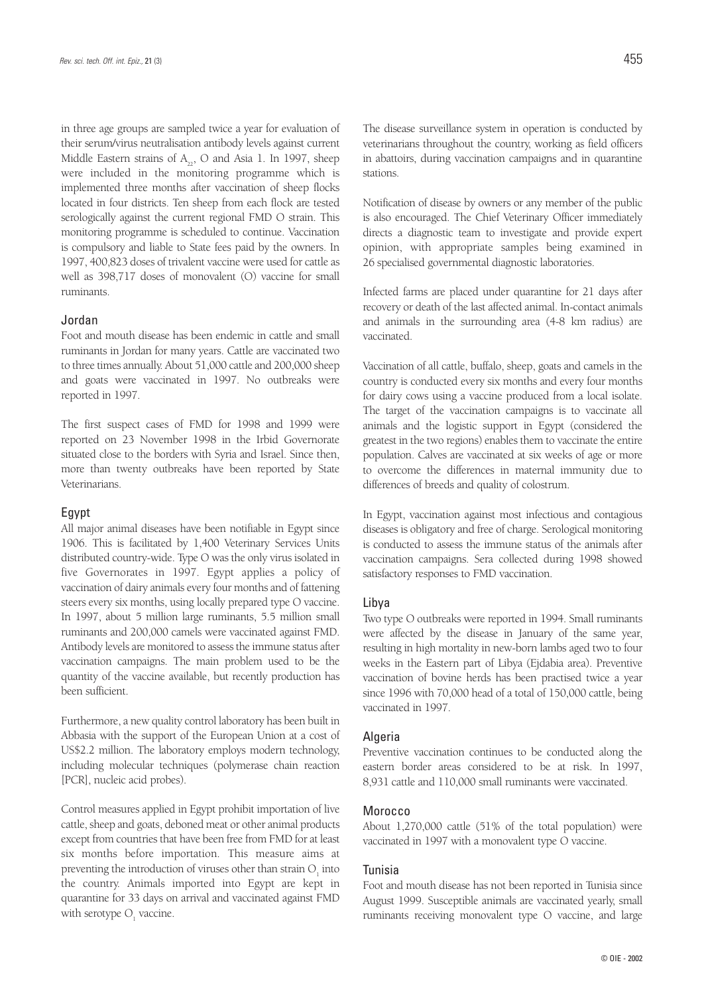in three age groups are sampled twice a year for evaluation of their serum/virus neutralisation antibody levels against current Middle Eastern strains of  $A_{22}$ , O and Asia 1. In 1997, sheep were included in the monitoring programme which is implemented three months after vaccination of sheep flocks located in four districts. Ten sheep from each flock are tested serologically against the current regional FMD O strain. This monitoring programme is scheduled to continue. Vaccination is compulsory and liable to State fees paid by the owners. In 1997, 400,823 doses of trivalent vaccine were used for cattle as well as 398,717 doses of monovalent (O) vaccine for small ruminants.

### Jordan

Foot and mouth disease has been endemic in cattle and small ruminants in Jordan for many years. Cattle are vaccinated two to three times annually. About 51,000 cattle and 200,000 sheep and goats were vaccinated in 1997. No outbreaks were reported in 1997.

The first suspect cases of FMD for 1998 and 1999 were reported on 23 November 1998 in the Irbid Governorate situated close to the borders with Syria and Israel. Since then, more than twenty outbreaks have been reported by State Veterinarians.

#### Egypt

All major animal diseases have been notifiable in Egypt since 1906. This is facilitated by 1,400 Veterinary Services Units distributed country-wide. Type O was the only virus isolated in five Governorates in 1997. Egypt applies a policy of vaccination of dairy animals every four months and of fattening steers every six months, using locally prepared type O vaccine. In 1997, about 5 million large ruminants, 5.5 million small ruminants and 200,000 camels were vaccinated against FMD. Antibody levels are monitored to assess the immune status after vaccination campaigns. The main problem used to be the quantity of the vaccine available, but recently production has been sufficient.

Furthermore, a new quality control laboratory has been built in Abbasia with the support of the European Union at a cost of US\$2.2 million. The laboratory employs modern technology, including molecular techniques (polymerase chain reaction [PCR], nucleic acid probes).

Control measures applied in Egypt prohibit importation of live cattle, sheep and goats, deboned meat or other animal products except from countries that have been free from FMD for at least six months before importation. This measure aims at preventing the introduction of viruses other than strain  $O<sub>1</sub>$  into the country. Animals imported into Egypt are kept in quarantine for 33 days on arrival and vaccinated against FMD with serotype O<sub>,</sub> vaccine.

The disease surveillance system in operation is conducted by veterinarians throughout the country, working as field officers in abattoirs, during vaccination campaigns and in quarantine stations.

Notification of disease by owners or any member of the public is also encouraged. The Chief Veterinary Officer immediately directs a diagnostic team to investigate and provide expert opinion, with appropriate samples being examined in 26 specialised governmental diagnostic laboratories.

Infected farms are placed under quarantine for 21 days after recovery or death of the last affected animal. In-contact animals and animals in the surrounding area (4-8 km radius) are vaccinated.

Vaccination of all cattle, buffalo, sheep, goats and camels in the country is conducted every six months and every four months for dairy cows using a vaccine produced from a local isolate. The target of the vaccination campaigns is to vaccinate all animals and the logistic support in Egypt (considered the greatest in the two regions) enables them to vaccinate the entire population. Calves are vaccinated at six weeks of age or more to overcome the differences in maternal immunity due to differences of breeds and quality of colostrum.

In Egypt, vaccination against most infectious and contagious diseases is obligatory and free of charge. Serological monitoring is conducted to assess the immune status of the animals after vaccination campaigns. Sera collected during 1998 showed satisfactory responses to FMD vaccination.

#### Libya

Two type O outbreaks were reported in 1994. Small ruminants were affected by the disease in January of the same year, resulting in high mortality in new-born lambs aged two to four weeks in the Eastern part of Libya (Ejdabia area). Preventive vaccination of bovine herds has been practised twice a year since 1996 with 70,000 head of a total of 150,000 cattle, being vaccinated in 1997.

#### **Algeria**

Preventive vaccination continues to be conducted along the eastern border areas considered to be at risk. In 1997, 8,931 cattle and 110,000 small ruminants were vaccinated.

#### **Morocco**

About 1,270,000 cattle (51% of the total population) were vaccinated in 1997 with a monovalent type O vaccine.

#### Tunisia

Foot and mouth disease has not been reported in Tunisia since August 1999. Susceptible animals are vaccinated yearly, small ruminants receiving monovalent type O vaccine, and large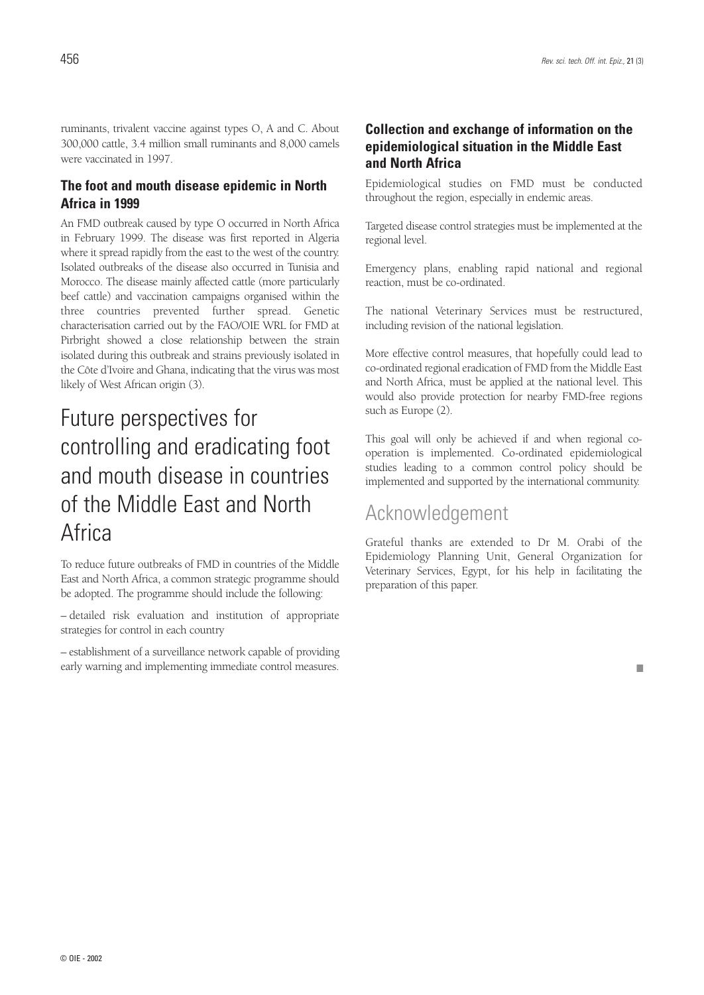ruminants, trivalent vaccine against types O, A and C. About 300,000 cattle, 3.4 million small ruminants and 8,000 camels were vaccinated in 1997.

## **The foot and mouth disease epidemic in North Africa in 1999**

An FMD outbreak caused by type O occurred in North Africa in February 1999. The disease was first reported in Algeria where it spread rapidly from the east to the west of the country. Isolated outbreaks of the disease also occurred in Tunisia and Morocco. The disease mainly affected cattle (more particularly beef cattle) and vaccination campaigns organised within the three countries prevented further spread. Genetic characterisation carried out by the FAO/OIE WRL for FMD at Pirbright showed a close relationship between the strain isolated during this outbreak and strains previously isolated in the Côte d'Ivoire and Ghana, indicating that the virus was most likely of West African origin (3).

# Future perspectives for controlling and eradicating foot and mouth disease in countries of the Middle East and North **Africa**

To reduce future outbreaks of FMD in countries of the Middle East and North Africa, a common strategic programme should be adopted. The programme should include the following:

– detailed risk evaluation and institution of appropriate strategies for control in each country

– establishment of a surveillance network capable of providing early warning and implementing immediate control measures.

## **Collection and exchange of information on the epidemiological situation in the Middle East and North Africa**

Epidemiological studies on FMD must be conducted throughout the region, especially in endemic areas.

Targeted disease control strategies must be implemented at the regional level.

Emergency plans, enabling rapid national and regional reaction, must be co-ordinated.

The national Veterinary Services must be restructured, including revision of the national legislation.

More effective control measures, that hopefully could lead to co-ordinated regional eradication of FMD from the Middle East and North Africa, must be applied at the national level. This would also provide protection for nearby FMD-free regions such as Europe (2).

This goal will only be achieved if and when regional cooperation is implemented. Co-ordinated epidemiological studies leading to a common control policy should be implemented and supported by the international community.

## Acknowledgement

Grateful thanks are extended to Dr M. Orabi of the Epidemiology Planning Unit, General Organization for Veterinary Services, Egypt, for his help in facilitating the preparation of this paper.

■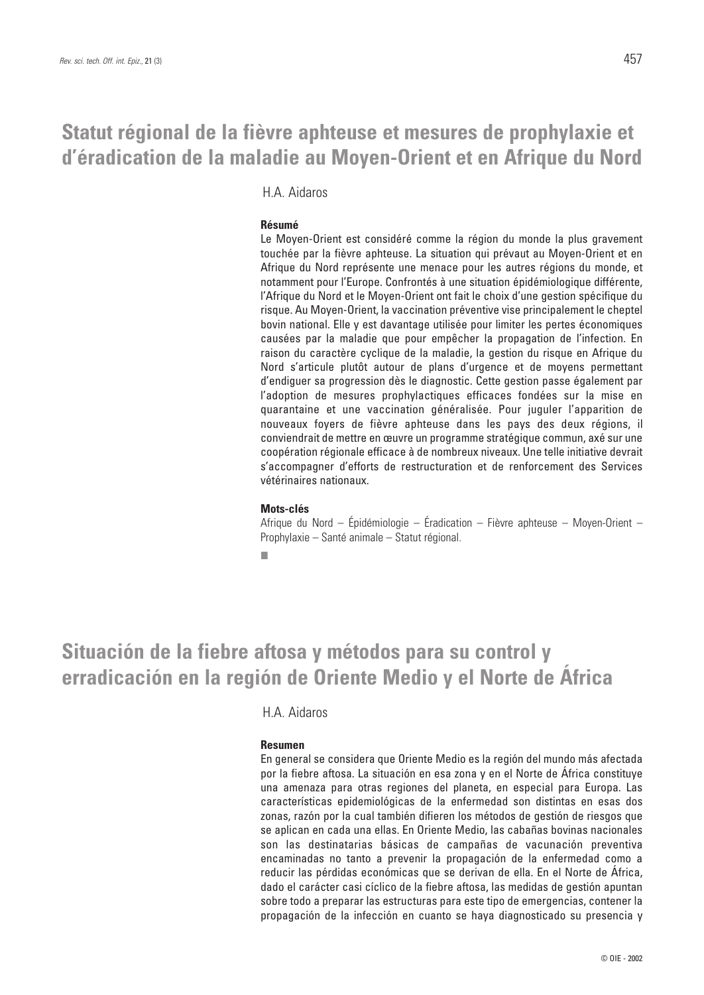## **Statut régional de la fièvre aphteuse et mesures de prophylaxie et d'éradication de la maladie au Moyen-Orient et en Afrique du Nord**

H.A. Aidaros

### **Résumé**

Le Moyen-Orient est considéré comme la région du monde la plus gravement touchée par la fièvre aphteuse. La situation qui prévaut au Moyen-Orient et en Afrique du Nord représente une menace pour les autres régions du monde, et notamment pour l'Europe. Confrontés à une situation épidémiologique différente, l'Afrique du Nord et le Moyen-Orient ont fait le choix d'une gestion spécifique du risque. Au Moyen-Orient, la vaccination préventive vise principalement le cheptel bovin national. Elle y est davantage utilisée pour limiter les pertes économiques causées par la maladie que pour empêcher la propagation de l'infection. En raison du caractère cyclique de la maladie, la gestion du risque en Afrique du Nord s'articule plutôt autour de plans d'urgence et de moyens permettant d'endiguer sa progression dès le diagnostic. Cette gestion passe également par l'adoption de mesures prophylactiques efficaces fondées sur la mise en quarantaine et une vaccination généralisée. Pour juguler l'apparition de nouveaux foyers de fièvre aphteuse dans les pays des deux régions, il conviendrait de mettre en œuvre un programme stratégique commun, axé sur une coopération régionale efficace à de nombreux niveaux. Une telle initiative devrait s'accompagner d'efforts de restructuration et de renforcement des Services vétérinaires nationaux.

#### **Mots-clés**

Afrique du Nord – Épidémiologie – Éradication – Fièvre aphteuse – Moyen-Orient – Prophylaxie – Santé animale – Statut régional.

■

## **Situación de la fiebre aftosa y métodos para su control y erradicación en la región de Oriente Medio y el Norte de África**

## H.A. Aidaros

### **Resumen**

En general se considera que Oriente Medio es la región del mundo más afectada por la fiebre aftosa. La situación en esa zona y en el Norte de África constituye una amenaza para otras regiones del planeta, en especial para Europa. Las características epidemiológicas de la enfermedad son distintas en esas dos zonas, razón por la cual también difieren los métodos de gestión de riesgos que se aplican en cada una ellas. En Oriente Medio, las cabañas bovinas nacionales son las destinatarias básicas de campañas de vacunación preventiva encaminadas no tanto a prevenir la propagación de la enfermedad como a reducir las pérdidas económicas que se derivan de ella. En el Norte de África, dado el carácter casi cíclico de la fiebre aftosa, las medidas de gestión apuntan sobre todo a preparar las estructuras para este tipo de emergencias, contener la propagación de la infección en cuanto se haya diagnosticado su presencia y